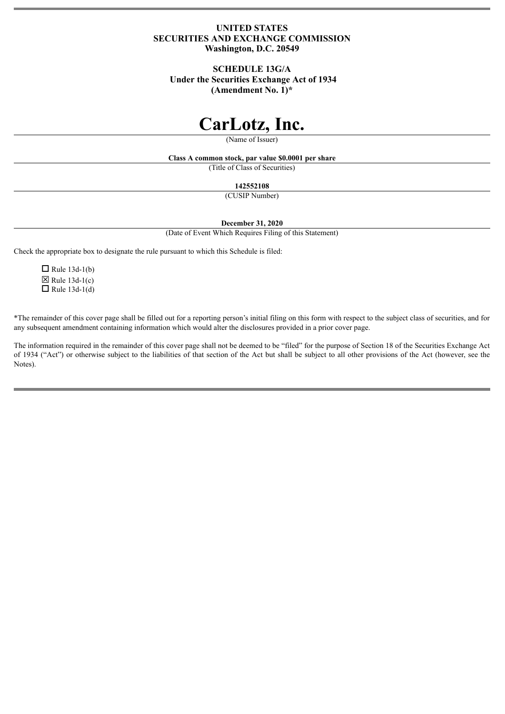# **UNITED STATES SECURITIES AND EXCHANGE COMMISSION Washington, D.C. 20549**

# **SCHEDULE 13G/A**

 **Under the Securities Exchange Act of 1934**

**(Amendment No. 1)\***

# **CarLotz, Inc.**

(Name of Issuer)

# **Class A common stock, par value \$0.0001 per share**

(Title of Class of Securities)

#### **142552108**

(CUSIP Number)

#### **December 31, 2020**

(Date of Event Which Requires Filing of this Statement)

Check the appropriate box to designate the rule pursuant to which this Schedule is filed:

 $\Box$  Rule 13d-1(b)  $\boxtimes$  Rule 13d-1(c)  $\Box$  Rule 13d-1(d)

\*The remainder of this cover page shall be filled out for a reporting person's initial filing on this form with respect to the subject class of securities, and for any subsequent amendment containing information which would alter the disclosures provided in a prior cover page.

The information required in the remainder of this cover page shall not be deemed to be "filed" for the purpose of Section 18 of the Securities Exchange Act of 1934 ("Act") or otherwise subject to the liabilities of that section of the Act but shall be subject to all other provisions of the Act (however, see the Notes).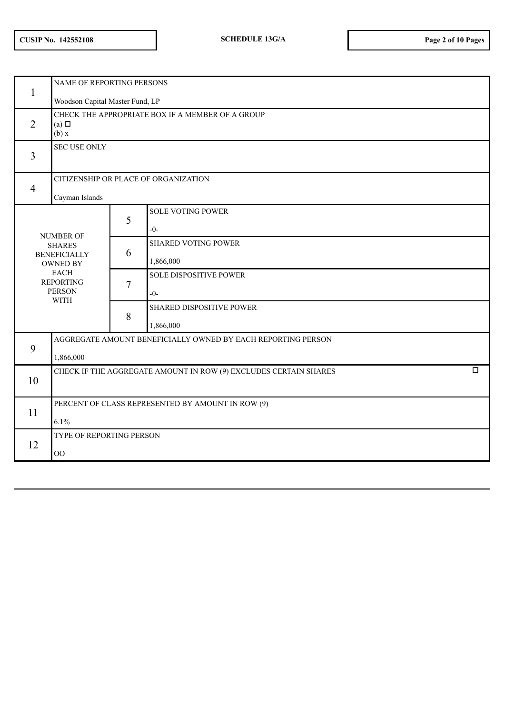| $\mathbf{1}$                                                                                                                                   | NAME OF REPORTING PERSONS<br>Woodson Capital Master Fund, LP                 |   |                                         |  |  |
|------------------------------------------------------------------------------------------------------------------------------------------------|------------------------------------------------------------------------------|---|-----------------------------------------|--|--|
| $\overline{2}$                                                                                                                                 | CHECK THE APPROPRIATE BOX IF A MEMBER OF A GROUP<br>$(a)$ $\square$<br>(b) x |   |                                         |  |  |
| 3                                                                                                                                              | <b>SEC USE ONLY</b>                                                          |   |                                         |  |  |
| $\overline{4}$                                                                                                                                 | CITIZENSHIP OR PLACE OF ORGANIZATION<br>Cayman Islands                       |   |                                         |  |  |
| <b>NUMBER OF</b><br><b>SHARES</b><br><b>BENEFICIALLY</b><br><b>OWNED BY</b><br><b>EACH</b><br><b>REPORTING</b><br><b>PERSON</b><br><b>WITH</b> |                                                                              | 5 | <b>SOLE VOTING POWER</b><br>$-0-$       |  |  |
|                                                                                                                                                |                                                                              | 6 | <b>SHARED VOTING POWER</b><br>1,866,000 |  |  |
|                                                                                                                                                |                                                                              | 7 | <b>SOLE DISPOSITIVE POWER</b><br>$-0-$  |  |  |
|                                                                                                                                                |                                                                              | 8 | SHARED DISPOSITIVE POWER<br>1,866,000   |  |  |
| 9                                                                                                                                              | AGGREGATE AMOUNT BENEFICIALLY OWNED BY EACH REPORTING PERSON                 |   |                                         |  |  |
|                                                                                                                                                | 1,866,000                                                                    |   |                                         |  |  |
| 10                                                                                                                                             | $\Box$<br>CHECK IF THE AGGREGATE AMOUNT IN ROW (9) EXCLUDES CERTAIN SHARES   |   |                                         |  |  |
| 11                                                                                                                                             | PERCENT OF CLASS REPRESENTED BY AMOUNT IN ROW (9)                            |   |                                         |  |  |
|                                                                                                                                                | 6.1%                                                                         |   |                                         |  |  |
| 12                                                                                                                                             | TYPE OF REPORTING PERSON                                                     |   |                                         |  |  |
|                                                                                                                                                | $00\,$                                                                       |   |                                         |  |  |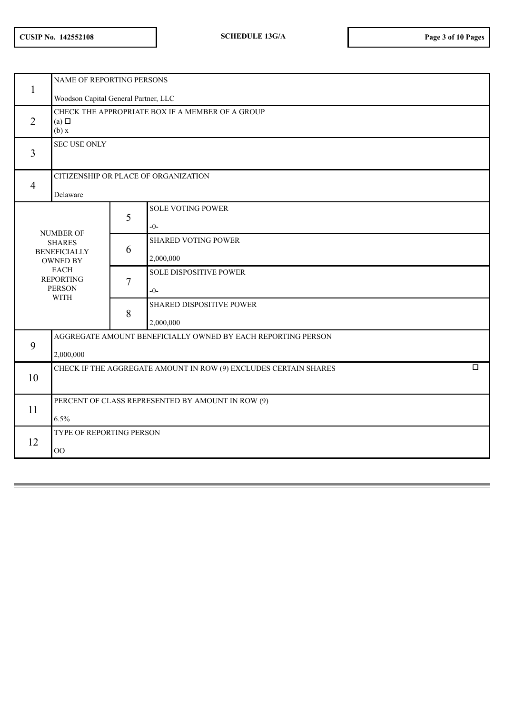| 1                                                                                                                                              | NAME OF REPORTING PERSONS<br>Woodson Capital General Partner, LLC            |   |                                         |  |  |
|------------------------------------------------------------------------------------------------------------------------------------------------|------------------------------------------------------------------------------|---|-----------------------------------------|--|--|
| $\overline{2}$                                                                                                                                 | CHECK THE APPROPRIATE BOX IF A MEMBER OF A GROUP<br>$(a)$ $\square$<br>(b) x |   |                                         |  |  |
| 3                                                                                                                                              | <b>SEC USE ONLY</b>                                                          |   |                                         |  |  |
| $\overline{4}$                                                                                                                                 | CITIZENSHIP OR PLACE OF ORGANIZATION<br>Delaware                             |   |                                         |  |  |
| <b>NUMBER OF</b><br><b>SHARES</b><br><b>BENEFICIALLY</b><br><b>OWNED BY</b><br><b>EACH</b><br><b>REPORTING</b><br><b>PERSON</b><br><b>WITH</b> |                                                                              | 5 | <b>SOLE VOTING POWER</b><br>$-0-$       |  |  |
|                                                                                                                                                |                                                                              | 6 | <b>SHARED VOTING POWER</b><br>2,000,000 |  |  |
|                                                                                                                                                |                                                                              | 7 | <b>SOLE DISPOSITIVE POWER</b><br>$-0-$  |  |  |
|                                                                                                                                                |                                                                              | 8 | SHARED DISPOSITIVE POWER<br>2,000,000   |  |  |
| 9                                                                                                                                              | AGGREGATE AMOUNT BENEFICIALLY OWNED BY EACH REPORTING PERSON                 |   |                                         |  |  |
|                                                                                                                                                | 2,000,000                                                                    |   |                                         |  |  |
| 10                                                                                                                                             | $\Box$<br>CHECK IF THE AGGREGATE AMOUNT IN ROW (9) EXCLUDES CERTAIN SHARES   |   |                                         |  |  |
| 11                                                                                                                                             | PERCENT OF CLASS REPRESENTED BY AMOUNT IN ROW (9)                            |   |                                         |  |  |
|                                                                                                                                                | 6.5%                                                                         |   |                                         |  |  |
| 12                                                                                                                                             | TYPE OF REPORTING PERSON                                                     |   |                                         |  |  |
|                                                                                                                                                | 00                                                                           |   |                                         |  |  |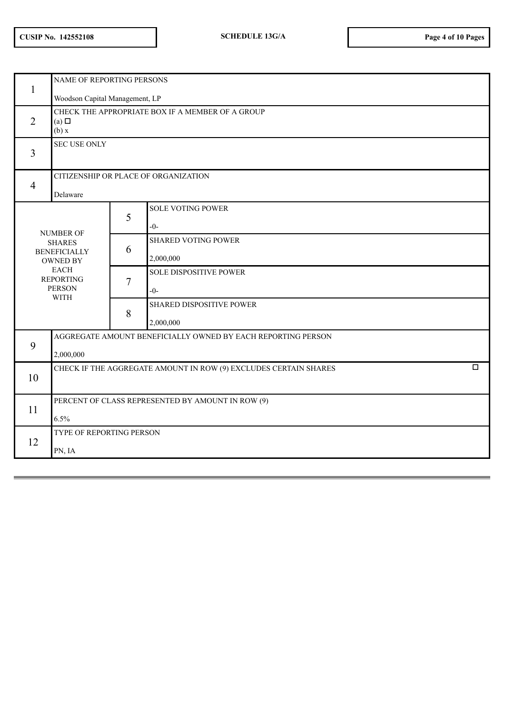| 1                                                                           | NAME OF REPORTING PERSONS<br>Woodson Capital Management, LP                  |   |                                         |  |  |
|-----------------------------------------------------------------------------|------------------------------------------------------------------------------|---|-----------------------------------------|--|--|
| $\overline{2}$                                                              | CHECK THE APPROPRIATE BOX IF A MEMBER OF A GROUP<br>$(a)$ $\square$<br>(b) x |   |                                         |  |  |
| $\overline{3}$                                                              | <b>SEC USE ONLY</b>                                                          |   |                                         |  |  |
| $\overline{4}$                                                              | CITIZENSHIP OR PLACE OF ORGANIZATION<br>Delaware                             |   |                                         |  |  |
| <b>NUMBER OF</b><br><b>SHARES</b><br><b>BENEFICIALLY</b><br><b>OWNED BY</b> |                                                                              | 5 | <b>SOLE VOTING POWER</b><br>$-0-$       |  |  |
|                                                                             |                                                                              | 6 | <b>SHARED VOTING POWER</b><br>2,000,000 |  |  |
|                                                                             | <b>EACH</b><br><b>REPORTING</b><br><b>PERSON</b>                             |   | <b>SOLE DISPOSITIVE POWER</b><br>$-0-$  |  |  |
| <b>WITH</b>                                                                 |                                                                              | 8 | SHARED DISPOSITIVE POWER<br>2,000,000   |  |  |
|                                                                             | AGGREGATE AMOUNT BENEFICIALLY OWNED BY EACH REPORTING PERSON                 |   |                                         |  |  |
| 9                                                                           | 2,000,000                                                                    |   |                                         |  |  |
| 10                                                                          | $\Box$<br>CHECK IF THE AGGREGATE AMOUNT IN ROW (9) EXCLUDES CERTAIN SHARES   |   |                                         |  |  |
| 11                                                                          | PERCENT OF CLASS REPRESENTED BY AMOUNT IN ROW (9)<br>6.5%                    |   |                                         |  |  |
| 12                                                                          | TYPE OF REPORTING PERSON<br>PN, IA                                           |   |                                         |  |  |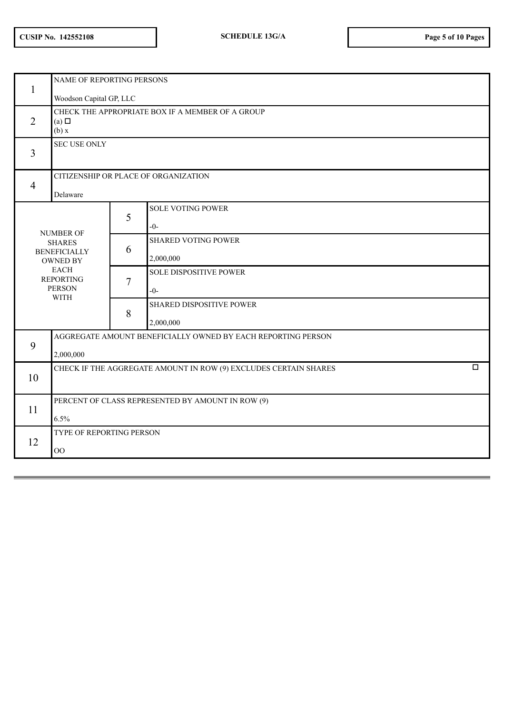| $\mathbf{1}$                                                                                                                                   | NAME OF REPORTING PERSONS<br>Woodson Capital GP, LLC                         |   |                                              |  |  |
|------------------------------------------------------------------------------------------------------------------------------------------------|------------------------------------------------------------------------------|---|----------------------------------------------|--|--|
| $\overline{2}$                                                                                                                                 | CHECK THE APPROPRIATE BOX IF A MEMBER OF A GROUP<br>$(a)$ $\square$<br>(b) x |   |                                              |  |  |
| 3                                                                                                                                              | <b>SEC USE ONLY</b>                                                          |   |                                              |  |  |
| $\overline{4}$                                                                                                                                 | CITIZENSHIP OR PLACE OF ORGANIZATION<br>Delaware                             |   |                                              |  |  |
| <b>NUMBER OF</b><br><b>SHARES</b><br><b>BENEFICIALLY</b><br><b>OWNED BY</b><br><b>EACH</b><br><b>REPORTING</b><br><b>PERSON</b><br><b>WITH</b> |                                                                              | 5 | <b>SOLE VOTING POWER</b><br>$-0-$            |  |  |
|                                                                                                                                                |                                                                              | 6 | <b>SHARED VOTING POWER</b><br>2,000,000      |  |  |
|                                                                                                                                                |                                                                              | 7 | SOLE DISPOSITIVE POWER<br>$-0-$              |  |  |
|                                                                                                                                                |                                                                              | 8 | <b>SHARED DISPOSITIVE POWER</b><br>2,000,000 |  |  |
| 9                                                                                                                                              | AGGREGATE AMOUNT BENEFICIALLY OWNED BY EACH REPORTING PERSON                 |   |                                              |  |  |
|                                                                                                                                                | 2,000,000                                                                    |   |                                              |  |  |
| 10                                                                                                                                             | $\Box$<br>CHECK IF THE AGGREGATE AMOUNT IN ROW (9) EXCLUDES CERTAIN SHARES   |   |                                              |  |  |
| 11                                                                                                                                             | PERCENT OF CLASS REPRESENTED BY AMOUNT IN ROW (9)<br>6.5%                    |   |                                              |  |  |
| 12                                                                                                                                             | TYPE OF REPORTING PERSON<br>$\overline{O}O$                                  |   |                                              |  |  |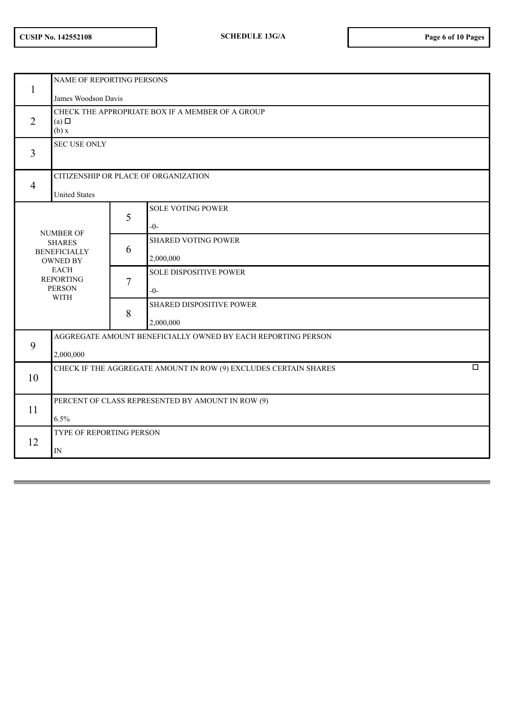| $\mathbf{1}$                                                                                                                                   | <b>NAME OF REPORTING PERSONS</b><br>James Woodson Davis                      |   |                                         |  |  |
|------------------------------------------------------------------------------------------------------------------------------------------------|------------------------------------------------------------------------------|---|-----------------------------------------|--|--|
| $\overline{2}$                                                                                                                                 | CHECK THE APPROPRIATE BOX IF A MEMBER OF A GROUP<br>$(a)$ $\square$<br>(b) x |   |                                         |  |  |
| 3                                                                                                                                              | <b>SEC USE ONLY</b>                                                          |   |                                         |  |  |
| $\overline{4}$                                                                                                                                 | CITIZENSHIP OR PLACE OF ORGANIZATION<br><b>United States</b>                 |   |                                         |  |  |
| <b>NUMBER OF</b><br><b>SHARES</b><br><b>BENEFICIALLY</b><br><b>OWNED BY</b><br><b>EACH</b><br><b>REPORTING</b><br><b>PERSON</b><br><b>WITH</b> |                                                                              | 5 | <b>SOLE VOTING POWER</b><br>$-0-$       |  |  |
|                                                                                                                                                |                                                                              | 6 | <b>SHARED VOTING POWER</b><br>2,000,000 |  |  |
|                                                                                                                                                |                                                                              | 7 | <b>SOLE DISPOSITIVE POWER</b><br>$-0-$  |  |  |
|                                                                                                                                                |                                                                              | 8 | SHARED DISPOSITIVE POWER<br>2,000,000   |  |  |
|                                                                                                                                                | AGGREGATE AMOUNT BENEFICIALLY OWNED BY EACH REPORTING PERSON                 |   |                                         |  |  |
| 9                                                                                                                                              | 2,000,000                                                                    |   |                                         |  |  |
| 10                                                                                                                                             | $\Box$<br>CHECK IF THE AGGREGATE AMOUNT IN ROW (9) EXCLUDES CERTAIN SHARES   |   |                                         |  |  |
| 11                                                                                                                                             | PERCENT OF CLASS REPRESENTED BY AMOUNT IN ROW (9)                            |   |                                         |  |  |
|                                                                                                                                                | 6.5%                                                                         |   |                                         |  |  |
| 12                                                                                                                                             | TYPE OF REPORTING PERSON                                                     |   |                                         |  |  |
|                                                                                                                                                | $\ensuremath{\text{IN}}$                                                     |   |                                         |  |  |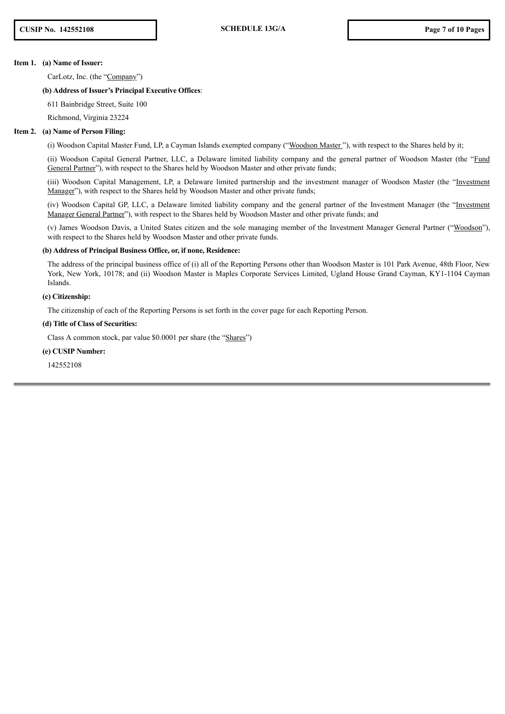#### **Item 1. (a) Name of Issuer:**

CarLotz, Inc. (the "Company")

# **(b) Address of Issuer's Principal Executive Offices**:

611 Bainbridge Street, Suite 100

Richmond, Virginia 23224

#### **Item 2. (a) Name of Person Filing:**

(i) Woodson Capital Master Fund, LP, a Cayman Islands exempted company ("Woodson Master "), with respect to the Shares held by it;

(ii) Woodson Capital General Partner, LLC, a Delaware limited liability company and the general partner of Woodson Master (the "Fund General Partner"), with respect to the Shares held by Woodson Master and other private funds;

(iii) Woodson Capital Management, LP, a Delaware limited partnership and the investment manager of Woodson Master (the "Investment Manager"), with respect to the Shares held by Woodson Master and other private funds;

(iv) Woodson Capital GP, LLC, a Delaware limited liability company and the general partner of the Investment Manager (the "Investment Manager General Partner"), with respect to the Shares held by Woodson Master and other private funds; and

(v) James Woodson Davis, a United States citizen and the sole managing member of the Investment Manager General Partner ("Woodson"), with respect to the Shares held by Woodson Master and other private funds.

#### **(b) Address of Principal Business Office, or, if none, Residence:**

The address of the principal business office of (i) all of the Reporting Persons other than Woodson Master is 101 Park Avenue, 48th Floor, New York, New York, 10178; and (ii) Woodson Master is Maples Corporate Services Limited, Ugland House Grand Cayman, KY1-1104 Cayman Islands.

#### **(c) Citizenship:**

The citizenship of each of the Reporting Persons is set forth in the cover page for each Reporting Person.

#### **(d) Title of Class of Securities:**

Class A common stock, par value \$0.0001 per share (the "Shares")

#### **(e) CUSIP Number:**

142552108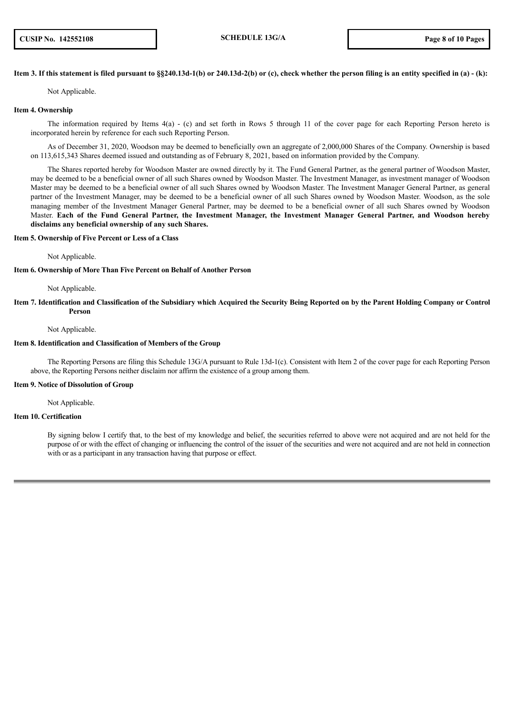# Item 3. If this statement is filed pursuant to  $\S$  240.13d-1(b) or 240.13d-2(b) or (c), check whether the person filing is an entity specified in (a) - (k):

Not Applicable.

#### **Item 4. Ownership**

The information required by Items 4(a) - (c) and set forth in Rows 5 through 11 of the cover page for each Reporting Person hereto is incorporated herein by reference for each such Reporting Person.

As of December 31, 2020, Woodson may be deemed to beneficially own an aggregate of 2,000,000 Shares of the Company. Ownership is based on 113,615,343 Shares deemed issued and outstanding as of February 8, 2021, based on information provided by the Company.

The Shares reported hereby for Woodson Master are owned directly by it. The Fund General Partner, as the general partner of Woodson Master, may be deemed to be a beneficial owner of all such Shares owned by Woodson Master. The Investment Manager, as investment manager of Woodson Master may be deemed to be a beneficial owner of all such Shares owned by Woodson Master. The Investment Manager General Partner, as general partner of the Investment Manager, may be deemed to be a beneficial owner of all such Shares owned by Woodson Master. Woodson, as the sole managing member of the Investment Manager General Partner, may be deemed to be a beneficial owner of all such Shares owned by Woodson Master. Each of the Fund General Partner, the Investment Manager, the Investment Manager General Partner, and Woodson hereby **disclaims any beneficial ownership of any such Shares.**

# **Item 5. Ownership of Five Percent or Less of a Class**

Not Applicable.

#### **Item 6. Ownership of More Than Five Percent on Behalf of Another Person**

Not Applicable.

# Item 7. Identification and Classification of the Subsidiary which Acquired the Security Being Reported on by the Parent Holding Company or Control **Person**

#### Not Applicable.

# **Item 8. Identification and Classification of Members of the Group**

The Reporting Persons are filing this Schedule 13G/A pursuant to Rule 13d-1(c). Consistent with Item 2 of the cover page for each Reporting Person above, the Reporting Persons neither disclaim nor affirm the existence of a group among them.

## **Item 9. Notice of Dissolution of Group**

Not Applicable.

#### **Item 10. Certification**

By signing below I certify that, to the best of my knowledge and belief, the securities referred to above were not acquired and are not held for the purpose of or with the effect of changing or influencing the control of the issuer of the securities and were not acquired and are not held in connection with or as a participant in any transaction having that purpose or effect.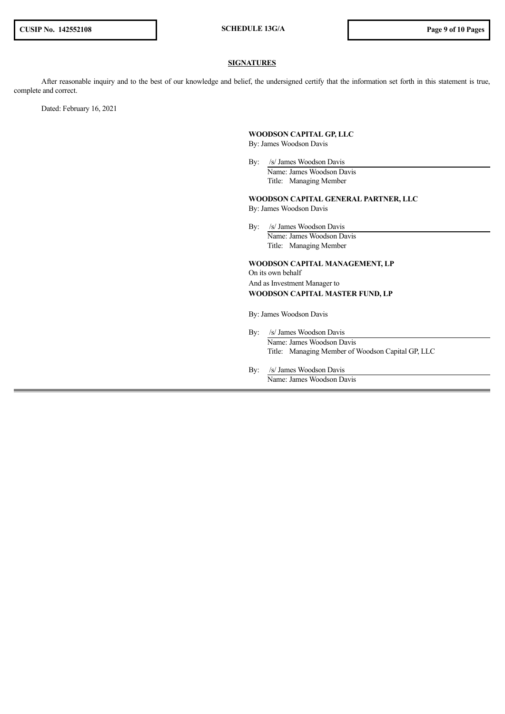# **SIGNATURES**

After reasonable inquiry and to the best of our knowledge and belief, the undersigned certify that the information set forth in this statement is true, complete and correct.

Dated: February 16, 2021

# **WOODSON CAPITAL GP, LLC**

By: James Woodson Davis

By: /s/ James Woodson Davis Name: James Woodson Davis Title: Managing Member

**WOODSON CAPITAL GENERAL PARTNER, LLC**

By: James Woodson Davis

By: /s/ James Woodson Davis Name: James Woodson Davis Title: Managing Member

**WOODSON CAPITAL MANAGEMENT, LP** On its own behalf And as Investment Manager to **WOODSON CAPITAL MASTER FUND, LP**

By: James Woodson Davis

By: /s/ James Woodson Davis Name: James Woodson Davis Title: Managing Member of Woodson Capital GP, LLC

By: /s/ James Woodson Davis Name: James Woodson Davis